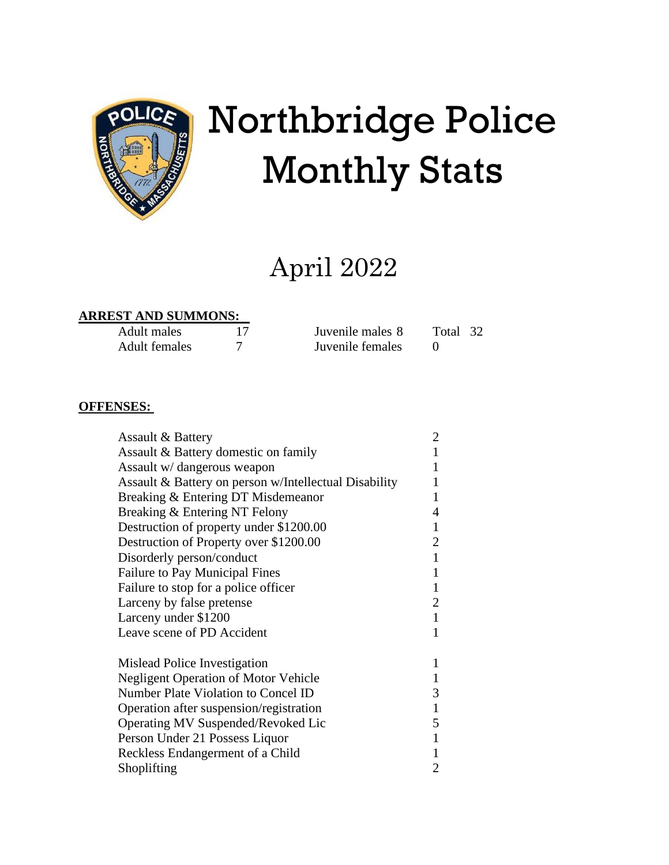

# Northbridge Police Monthly Stats

# April 2022

#### **ARREST AND SUMMONS:**

| Adult males   | Juvenile males 8 | Total 32 |  |
|---------------|------------------|----------|--|
| Adult females | Juvenile females |          |  |

#### **OFFENSES:**

| <b>Assault &amp; Battery</b>                          | $\overline{2}$ |
|-------------------------------------------------------|----------------|
| Assault & Battery domestic on family                  | $\mathbf{1}$   |
| Assault w/ dangerous weapon                           | 1              |
| Assault & Battery on person w/Intellectual Disability | 1              |
| Breaking & Entering DT Misdemeanor                    | 1              |
| Breaking & Entering NT Felony                         | 4              |
| Destruction of property under \$1200.00               | $\mathbf{1}$   |
| Destruction of Property over \$1200.00                | $\overline{2}$ |
| Disorderly person/conduct                             | $\mathbf{1}$   |
| <b>Failure to Pay Municipal Fines</b>                 | 1              |
| Failure to stop for a police officer                  | $\mathbf{1}$   |
| Larceny by false pretense                             | 2              |
| Larceny under \$1200                                  | $\mathbf{1}$   |
| Leave scene of PD Accident                            | 1              |
| Mislead Police Investigation                          | 1              |
| <b>Negligent Operation of Motor Vehicle</b>           | $\mathbf{1}$   |
| Number Plate Violation to Concel ID                   | 3              |
| Operation after suspension/registration               | $\mathbf{1}$   |
| Operating MV Suspended/Revoked Lic                    | 5              |
| Person Under 21 Possess Liquor                        | $\mathbf{1}$   |
| Reckless Endangerment of a Child                      | 1              |
| Shoplifting                                           | $\overline{2}$ |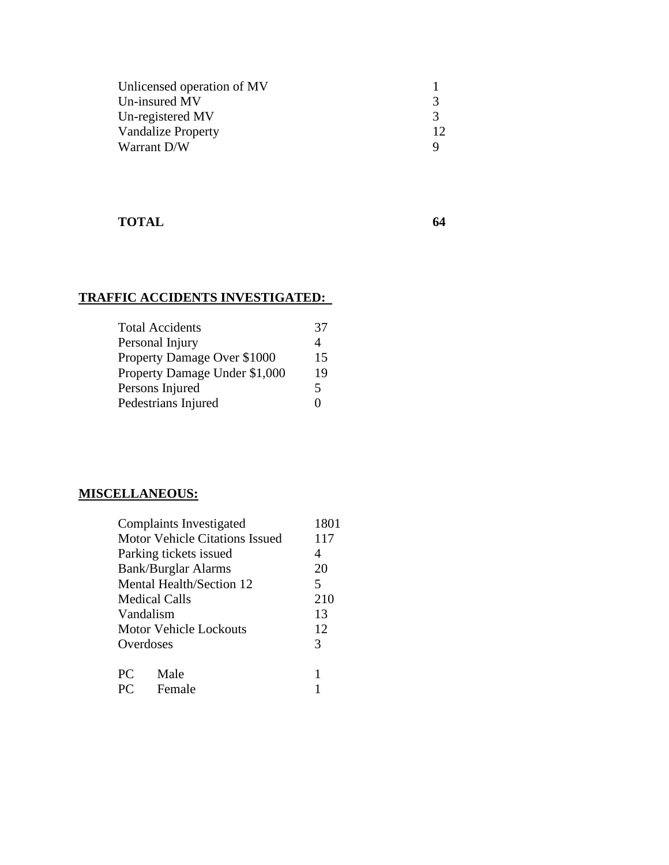| Unlicensed operation of MV |               |
|----------------------------|---------------|
| Un-insured MV              | 3             |
| Un-registered MV           | $\mathcal{R}$ |
| <b>Vandalize Property</b>  | 12            |
| Warrant D/W                |               |

#### **TOTAL 64**

# **TRAFFIC ACCIDENTS INVESTIGATED:**

| <b>Total Accidents</b>        | 37 |
|-------------------------------|----|
| Personal Injury               | 4  |
| Property Damage Over \$1000   | 15 |
| Property Damage Under \$1,000 | 19 |
| Persons Injured               | 5  |
| Pedestrians Injured           |    |

# **MISCELLANEOUS:**

|                                       | Complaints Investigated | 1801 |  |
|---------------------------------------|-------------------------|------|--|
| <b>Motor Vehicle Citations Issued</b> |                         | 117  |  |
| Parking tickets issued                |                         | 4    |  |
| <b>Bank/Burglar Alarms</b>            |                         | 20   |  |
| Mental Health/Section 12              |                         | 5    |  |
| <b>Medical Calls</b>                  |                         | 210  |  |
| Vandalism                             |                         | 13   |  |
|                                       | Motor Vehicle Lockouts  | 12   |  |
| Overdoses                             |                         | 3    |  |
|                                       |                         |      |  |
| <b>PC</b>                             | Male                    | 1    |  |
| <b>PC</b>                             | Female                  |      |  |